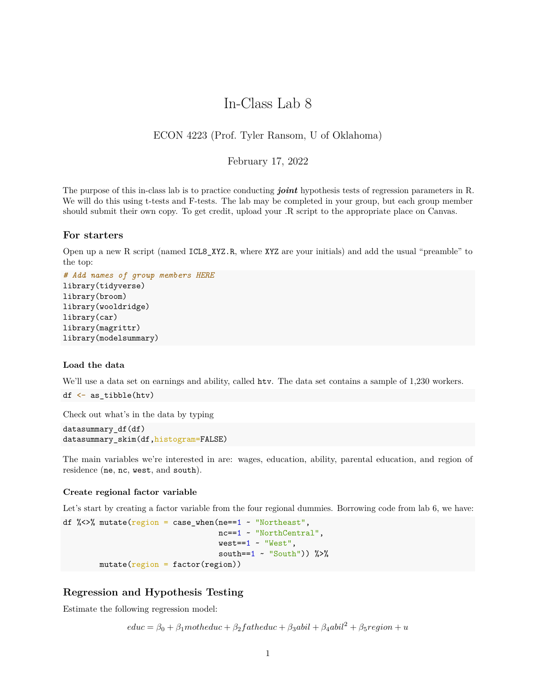# In-Class Lab 8

## ECON 4223 (Prof. Tyler Ransom, U of Oklahoma)

## February 17, 2022

The purpose of this in-class lab is to practice conducting *joint* hypothesis tests of regression parameters in R. We will do this using t-tests and F-tests. The lab may be completed in your group, but each group member should submit their own copy. To get credit, upload your .R script to the appropriate place on Canvas.

## **For starters**

Open up a new R script (named ICL8\_XYZ.R, where XYZ are your initials) and add the usual "preamble" to the top:

```
# Add names of group members HERE
library(tidyverse)
library(broom)
library(wooldridge)
library(car)
library(magrittr)
library(modelsummary)
```
#### **Load the data**

We'll use a data set on earnings and ability, called htv. The data set contains a sample of 1,230 workers.

```
df <- as_tibble(htv)
```
Check out what's in the data by typing

```
datasummary_df(df)
datasummary skim(df,histogram=FALSE)
```
The main variables we're interested in are: wages, education, ability, parental education, and region of residence (ne, nc, west, and south).

## **Create regional factor variable**

Let's start by creating a factor variable from the four regional dummies. Borrowing code from lab 6, we have:

```
df %<>% mutate(region = case_{\text{when}}(ne==1 - "Northeast",nc==1 ~ "NorthCentral",
                                     west==1 ~ "West",
                                     south==1 \sim "South")) %>%
        mutate(region = factor(region))
```
## **Regression and Hypothesis Testing**

Estimate the following regression model:

 $educ = \beta_0 + \beta_1$ *motheduc* +  $\beta_2$ *f* atheduc +  $\beta_3$ abil +  $\beta_4$ abil<sup>2</sup> +  $\beta_5$ region + *u*